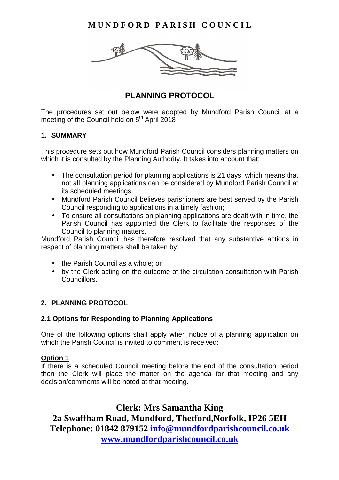**MUNDFORD PARISH COUNCIL** 



# **PLANNING PROTOCOL**

The procedures set out below were adopted by Mundford Parish Council at a meeting of the Council held on 5<sup>th</sup> April 2018

### **1. SUMMARY**

This procedure sets out how Mundford Parish Council considers planning matters on which it is consulted by the Planning Authority. It takes into account that:

- The consultation period for planning applications is 21 days, which means that not all planning applications can be considered by Mundford Parish Council at its scheduled meetings;
- Mundford Parish Council believes parishioners are best served by the Parish Council responding to applications in a timely fashion;
- To ensure all consultations on planning applications are dealt with in time, the Parish Council has appointed the Clerk to facilitate the responses of the Council to planning matters.

Mundford Parish Council has therefore resolved that any substantive actions in respect of planning matters shall be taken by:

- the Parish Council as a whole; or
- by the Clerk acting on the outcome of the circulation consultation with Parish **Councillors**

## **2. PLANNING PROTOCOL**

#### **2.1 Options for Responding to Planning Applications**

One of the following options shall apply when notice of a planning application on which the Parish Council is invited to comment is received:

#### **Option 1**

If there is a scheduled Council meeting before the end of the consultation period then the Clerk will place the matter on the agenda for that meeting and any decision/comments will be noted at that meeting.

**Clerk: Mrs Samantha King 2a Swaffham Road, Mundford, Thetford,Norfolk, IP26 5EH Telephone: 01842 879152 info@mundfordparishcouncil.co.uk www.mundfordparishcouncil.co.uk**